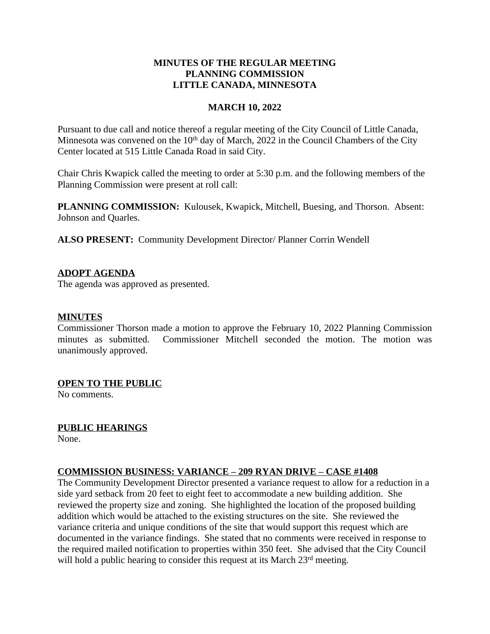### **MINUTES OF THE REGULAR MEETING PLANNING COMMISSION LITTLE CANADA, MINNESOTA**

#### **MARCH 10, 2022**

Pursuant to due call and notice thereof a regular meeting of the City Council of Little Canada, Minnesota was convened on the  $10<sup>th</sup>$  day of March, 2022 in the Council Chambers of the City Center located at 515 Little Canada Road in said City.

Chair Chris Kwapick called the meeting to order at 5:30 p.m. and the following members of the Planning Commission were present at roll call:

**PLANNING COMMISSION:** Kulousek, Kwapick, Mitchell, Buesing, and Thorson. Absent: Johnson and Quarles.

**ALSO PRESENT:** Community Development Director/ Planner Corrin Wendell

### **ADOPT AGENDA**

The agenda was approved as presented.

### **MINUTES**

Commissioner Thorson made a motion to approve the February 10, 2022 Planning Commission minutes as submitted. Commissioner Mitchell seconded the motion. The motion was unanimously approved.

### **OPEN TO THE PUBLIC**

No comments.

### **PUBLIC HEARINGS**

None.

# **COMMISSION BUSINESS: VARIANCE – 209 RYAN DRIVE – CASE #1408**

The Community Development Director presented a variance request to allow for a reduction in a side yard setback from 20 feet to eight feet to accommodate a new building addition. She reviewed the property size and zoning. She highlighted the location of the proposed building addition which would be attached to the existing structures on the site. She reviewed the variance criteria and unique conditions of the site that would support this request which are documented in the variance findings. She stated that no comments were received in response to the required mailed notification to properties within 350 feet. She advised that the City Council will hold a public hearing to consider this request at its March 23<sup>rd</sup> meeting.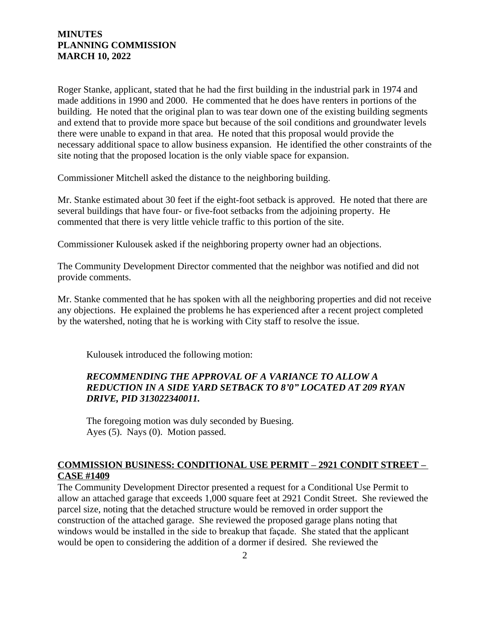#### **MINUTES PLANNING COMMISSION MARCH 10, 2022**

Roger Stanke, applicant, stated that he had the first building in the industrial park in 1974 and made additions in 1990 and 2000. He commented that he does have renters in portions of the building. He noted that the original plan to was tear down one of the existing building segments and extend that to provide more space but because of the soil conditions and groundwater levels there were unable to expand in that area. He noted that this proposal would provide the necessary additional space to allow business expansion. He identified the other constraints of the site noting that the proposed location is the only viable space for expansion.

Commissioner Mitchell asked the distance to the neighboring building.

Mr. Stanke estimated about 30 feet if the eight-foot setback is approved. He noted that there are several buildings that have four- or five-foot setbacks from the adjoining property. He commented that there is very little vehicle traffic to this portion of the site.

Commissioner Kulousek asked if the neighboring property owner had an objections.

The Community Development Director commented that the neighbor was notified and did not provide comments.

Mr. Stanke commented that he has spoken with all the neighboring properties and did not receive any objections. He explained the problems he has experienced after a recent project completed by the watershed, noting that he is working with City staff to resolve the issue.

Kulousek introduced the following motion:

### *RECOMMENDING THE APPROVAL OF A VARIANCE TO ALLOW A REDUCTION IN A SIDE YARD SETBACK TO 8'0" LOCATED AT 209 RYAN DRIVE, PID 313022340011.*

The foregoing motion was duly seconded by Buesing. Ayes (5). Nays (0). Motion passed.

### **COMMISSION BUSINESS: CONDITIONAL USE PERMIT – 2921 CONDIT STREET – CASE #1409**

The Community Development Director presented a request for a Conditional Use Permit to allow an attached garage that exceeds 1,000 square feet at 2921 Condit Street. She reviewed the parcel size, noting that the detached structure would be removed in order support the construction of the attached garage. She reviewed the proposed garage plans noting that windows would be installed in the side to breakup that façade. She stated that the applicant would be open to considering the addition of a dormer if desired. She reviewed the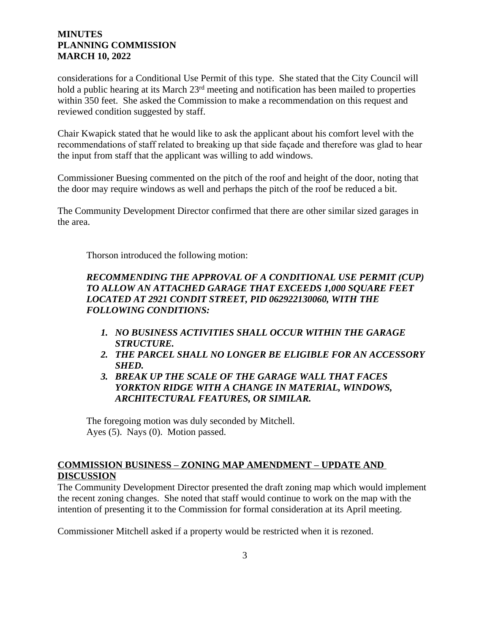### **MINUTES PLANNING COMMISSION MARCH 10, 2022**

considerations for a Conditional Use Permit of this type. She stated that the City Council will hold a public hearing at its March 23<sup>rd</sup> meeting and notification has been mailed to properties within 350 feet. She asked the Commission to make a recommendation on this request and reviewed condition suggested by staff.

Chair Kwapick stated that he would like to ask the applicant about his comfort level with the recommendations of staff related to breaking up that side façade and therefore was glad to hear the input from staff that the applicant was willing to add windows.

Commissioner Buesing commented on the pitch of the roof and height of the door, noting that the door may require windows as well and perhaps the pitch of the roof be reduced a bit.

The Community Development Director confirmed that there are other similar sized garages in the area.

Thorson introduced the following motion:

# *RECOMMENDING THE APPROVAL OF A CONDITIONAL USE PERMIT (CUP) TO ALLOW AN ATTACHED GARAGE THAT EXCEEDS 1,000 SQUARE FEET LOCATED AT 2921 CONDIT STREET, PID 062922130060, WITH THE FOLLOWING CONDITIONS:*

- *1. NO BUSINESS ACTIVITIES SHALL OCCUR WITHIN THE GARAGE STRUCTURE.*
- *2. THE PARCEL SHALL NO LONGER BE ELIGIBLE FOR AN ACCESSORY SHED.*
- *3. BREAK UP THE SCALE OF THE GARAGE WALL THAT FACES YORKTON RIDGE WITH A CHANGE IN MATERIAL, WINDOWS, ARCHITECTURAL FEATURES, OR SIMILAR.*

The foregoing motion was duly seconded by Mitchell. Ayes (5). Nays (0). Motion passed.

# **COMMISSION BUSINESS – ZONING MAP AMENDMENT – UPDATE AND DISCUSSION**

The Community Development Director presented the draft zoning map which would implement the recent zoning changes. She noted that staff would continue to work on the map with the intention of presenting it to the Commission for formal consideration at its April meeting.

Commissioner Mitchell asked if a property would be restricted when it is rezoned.